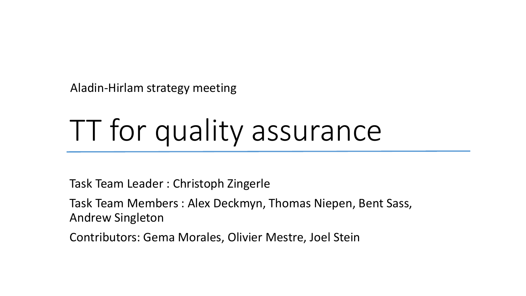Aladin-Hirlam strategy meeting

# TT for quality assurance

Task Team Leader : Christoph Zingerle

Task Team Members : Alex Deckmyn, Thomas Niepen, Bent Sass, Andrew Singleton

Contributors: Gema Morales, Olivier Mestre, Joel Stein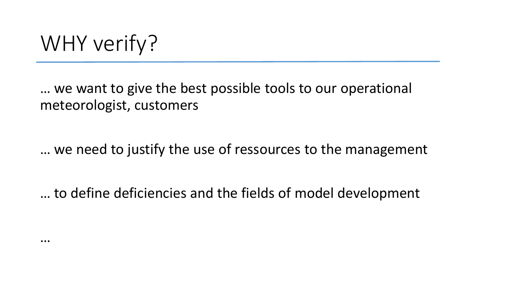# WHY verify?

…

… we want to give the best possible tools to our operational meteorologist, customers

… we need to justify the use of ressources to the management

… to define deficiencies and the fields of model development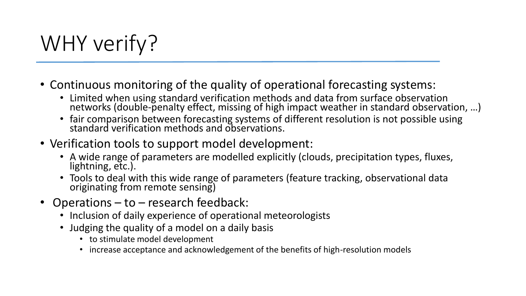# WHY verify?

- Continuous monitoring of the quality of operational forecasting systems:
	- Limited when using standard verification methods and data from surface observation networks (double-penalty effect, missing of high impact weather in standard observation, ...)
	- fair comparison between forecasting systems of different resolution is not possible using standard verification methods and observations.
- Verification tools to support model development:
	- A wide range of parameters are modelled explicitly (clouds, precipitation types, fluxes, lightning, etc.).
	- Tools to deal with this wide range of parameters (feature tracking, observational data originating from remote sensing)
- Operations to research feedback:
	- Inclusion of daily experience of operational meteorologists
	- Judging the quality of a model on a daily basis
		- to stimulate model development
		- increase acceptance and acknowledgement of the benefits of high-resolution models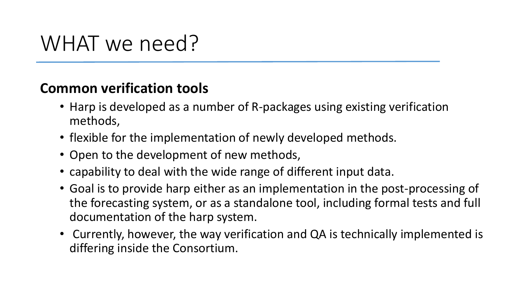#### **Common verification tools**

- Harp is developed as a number of R-packages using existing verification methods,
- flexible for the implementation of newly developed methods.
- Open to the development of new methods,
- capability to deal with the wide range of different input data.
- Goal is to provide harp either as an implementation in the post-processing of the forecasting system, or as a standalone tool, including formal tests and full documentation of the harp system.
- Currently, however, the way verification and QA is technically implemented is differing inside the Consortium.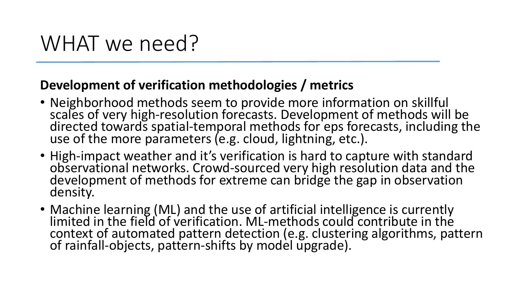#### **Development of verification methodologies / metrics**

- Neighborhood methods seem to provide more information on skillful scales of very high-resolution forecasts. Development of methods will be directed towards spatial-temporal methods for eps forecasts, including the use of the more parameters (e.g. cloud, lightning, etc.).
- High-impact weather and it's verification is hard to capture with standard observational networks. Crowd-sourced very high resolution data and the development of methods for extreme can bridge the gap in observation density.
- Machine learning (ML) and the use of artificial intelligence is currently limited in the field of verification. ML-methods could contribute in the context of automated pattern detection (e.g. clustering algorithms, pattern of rainfall-objects, pattern-shifts by model upgrade).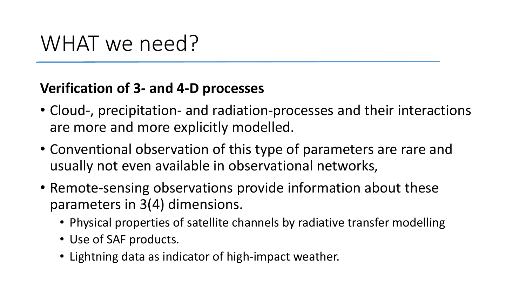#### **Verification of 3- and 4-D processes**

- Cloud-, precipitation- and radiation-processes and their interactions are more and more explicitly modelled.
- Conventional observation of this type of parameters are rare and usually not even available in observational networks,
- Remote-sensing observations provide information about these parameters in 3(4) dimensions.
	- Physical properties of satellite channels by radiative transfer modelling
	- Use of SAF products.
	- Lightning data as indicator of high-impact weather.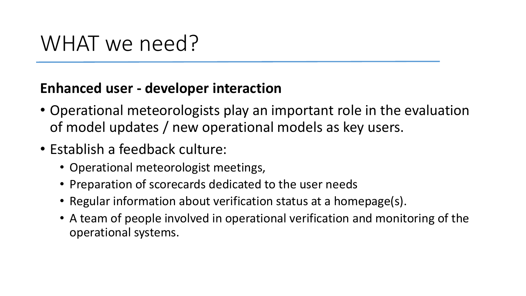#### **Enhanced user - developer interaction**

- Operational meteorologists play an important role in the evaluation of model updates / new operational models as key users.
- Establish a feedback culture:
	- Operational meteorologist meetings,
	- Preparation of scorecards dedicated to the user needs
	- Regular information about verification status at a homepage(s).
	- A team of people involved in operational verification and monitoring of the operational systems.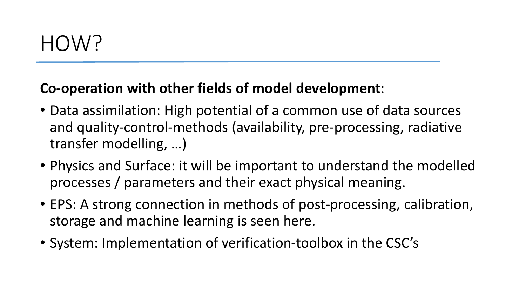#### **Co-operation with other fields of model development**:

- Data assimilation: High potential of a common use of data sources and quality-control-methods (availability, pre-processing, radiative transfer modelling, …)
- Physics and Surface: it will be important to understand the modelled processes / parameters and their exact physical meaning.
- EPS: A strong connection in methods of post-processing, calibration, storage and machine learning is seen here.
- System: Implementation of verification-toolbox in the CSC's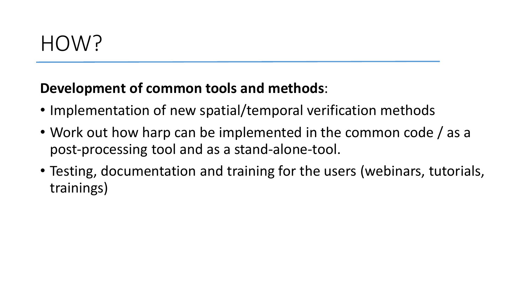#### **Development of common tools and methods**:

- Implementation of new spatial/temporal verification methods
- Work out how harp can be implemented in the common code / as a post-processing tool and as a stand-alone-tool.
- Testing, documentation and training for the users (webinars, tutorials, trainings)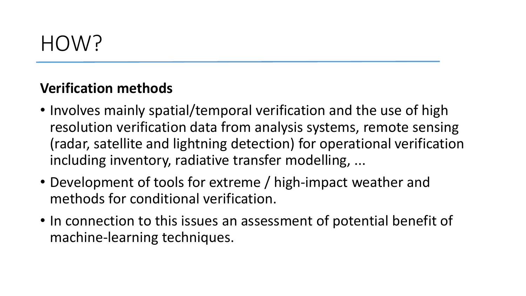#### **Verification methods**

- Involves mainly spatial/temporal verification and the use of high resolution verification data from analysis systems, remote sensing (radar, satellite and lightning detection) for operational verification including inventory, radiative transfer modelling, ...
- Development of tools for extreme / high-impact weather and methods for conditional verification.
- In connection to this issues an assessment of potential benefit of machine-learning techniques.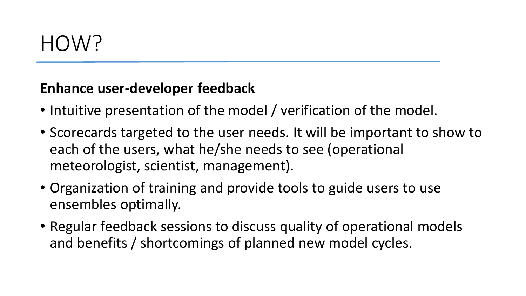#### **Enhance user-developer feedback**

- Intuitive presentation of the model / verification of the model.
- Scorecards targeted to the user needs. It will be important to show to each of the users, what he/she needs to see (operational meteorologist, scientist, management).
- Organization of training and provide tools to guide users to use ensembles optimally.
- Regular feedback sessions to discuss quality of operational models and benefits / shortcomings of planned new model cycles.